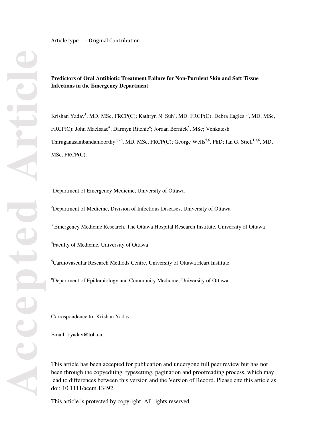Article type : Original Contribution

## **Predictors of Oral Antibiotic Treatment Failure for Non-Purulent Skin and Soft Tissue Infections in the Emergency Department**

Krishan Yadav<sup>1</sup>, MD, MSc, FRCP(C); Kathryn N. Suh<sup>2</sup>, MD, FRCP(C); Debra Eagles<sup>1,3</sup>, MD, MSc, FRCP(C); John MacIsaac<sup>4</sup>; Darmyn Ritchie<sup>4</sup>; Jordan Bernick<sup>5</sup>, MSc; Venkatesh Thiruganasambandamoorthy<sup>1,3,6</sup>, MD, MSc, FRCP(C); George Wells<sup>5,6</sup>, PhD; Ian G. Stiell<sup>1,3,6</sup>, MD, MSc, FRCP(C).

<sup>1</sup>Department of Emergency Medicine, University of Ottawa

<sup>2</sup>Department of Medicine, Division of Infectious Diseases, University of Ottawa

<sup>3</sup> Emergency Medicine Research, The Ottawa Hospital Research Institute, University of Ottawa

4 Faculty of Medicine, University of Ottawa

<sup>5</sup>Cardiovascular Research Methods Centre, University of Ottawa Heart Institute

<sup>6</sup>Department of Epidemiology and Community Medicine, University of Ottawa

Correspondence to: Krishan Yadav

Email: kyadav@toh.ca

This article has been accepted for publication and undergone full peer review but has not been through the copyediting, typesetting, pagination and proofreading process, which may lead to differences between this version and the Version of Record. Please cite this article as doi: 10.1111/acem.13492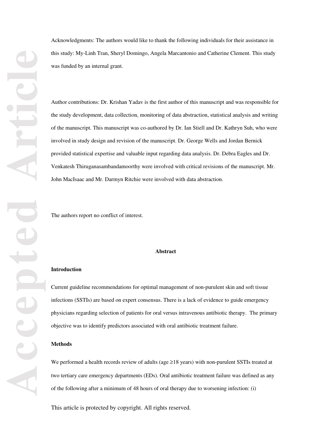Acknowledgments: The authors would like to thank the following individuals for their assistance in this study: My-Linh Tran, Sheryl Domingo, Angela Marcantonio and Catherine Clement. This study was funded by an internal grant.

Author contributions: Dr. Krishan Yadav is the first author of this manuscript and was responsible for the study development, data collection, monitoring of data abstraction, statistical analysis and writing of the manuscript. This manuscript was co-authored by Dr. Ian Stiell and Dr. Kathryn Suh, who were involved in study design and revision of the manuscript. Dr. George Wells and Jordan Bernick provided statistical expertise and valuable input regarding data analysis. Dr. Debra Eagles and Dr. Venkatesh Thiruganasambandamoorthy were involved with critical revisions of the manuscript. Mr. John MacIsaac and Mr. Darmyn Ritchie were involved with data abstraction.

The authors report no conflict of interest.

#### **Abstract**

### **Introduction**

Current guideline recommendations for optimal management of non-purulent skin and soft tissue infections (SSTIs) are based on expert consensus. There is a lack of evidence to guide emergency physicians regarding selection of patients for oral versus intravenous antibiotic therapy. The primary objective was to identify predictors associated with oral antibiotic treatment failure.

## **Methods**

We performed a health records review of adults (age ≥18 years) with non-purulent SSTIs treated at two tertiary care emergency departments (EDs). Oral antibiotic treatment failure was defined as any of the following after a minimum of 48 hours of oral therapy due to worsening infection: (i)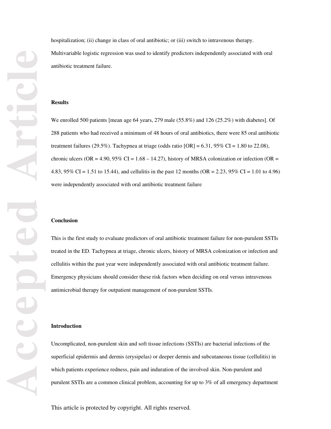hospitalization; (ii) change in class of oral antibiotic; or (iii) switch to intravenous therapy. Multivariable logistic regression was used to identify predictors independently associated with oral antibiotic treatment failure.

#### **Results**

We enrolled 500 patients [mean age 64 years, 279 male (55.8%) and 126 (25.2%) with diabetes]. Of 288 patients who had received a minimum of 48 hours of oral antibiotics, there were 85 oral antibiotic treatment failures (29.5%). Tachypnea at triage (odds ratio  $[OR] = 6.31$ , 95% CI = 1.80 to 22.08), chronic ulcers (OR = 4.90, 95% CI =  $1.68 - 14.27$ ), history of MRSA colonization or infection (OR = 4.83, 95% CI = 1.51 to 15.44), and cellulitis in the past 12 months (OR = 2.23, 95% CI = 1.01 to 4.96) were independently associated with oral antibiotic treatment failure

### **Conclusion**

This is the first study to evaluate predictors of oral antibiotic treatment failure for non-purulent SSTIs treated in the ED. Tachypnea at triage, chronic ulcers, history of MRSA colonization or infection and cellulitis within the past year were independently associated with oral antibiotic treatment failure. Emergency physicians should consider these risk factors when deciding on oral versus intravenous antimicrobial therapy for outpatient management of non-purulent SSTIs.

### **Introduction**

Uncomplicated, non-purulent skin and soft tissue infections (SSTIs) are bacterial infections of the superficial epidermis and dermis (erysipelas) or deeper dermis and subcutaneous tissue (cellulitis) in which patients experience redness, pain and induration of the involved skin. Non-purulent and purulent SSTIs are a common clinical problem, accounting for up to 3% of all emergency department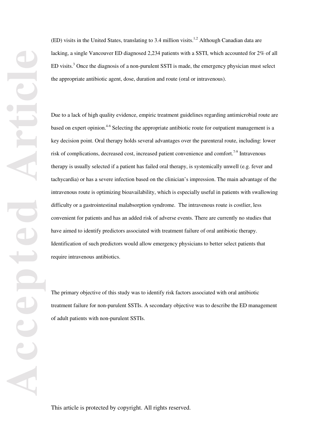(ED) visits in the United States, translating to  $3.4$  million visits.<sup>1,2</sup> Although Canadian data are lacking, a single Vancouver ED diagnosed 2,234 patients with a SSTI, which accounted for 2% of all  $ED$  visits.<sup>3</sup> Once the diagnosis of a non-purulent SSTI is made, the emergency physician must select the appropriate antibiotic agent, dose, duration and route (oral or intravenous).

Due to a lack of high quality evidence, empiric treatment guidelines regarding antimicrobial route are based on expert opinion.<sup>4-6</sup> Selecting the appropriate antibiotic route for outpatient management is a key decision point. Oral therapy holds several advantages over the parenteral route, including: lower risk of complications, decreased cost, increased patient convenience and comfort.<sup>7-9</sup> Intravenous therapy is usually selected if a patient has failed oral therapy, is systemically unwell (e.g. fever and tachycardia) or has a severe infection based on the clinician's impression. The main advantage of the intravenous route is optimizing bioavailability, which is especially useful in patients with swallowing difficulty or a gastrointestinal malabsorption syndrome. The intravenous route is costlier, less convenient for patients and has an added risk of adverse events. There are currently no studies that have aimed to identify predictors associated with treatment failure of oral antibiotic therapy. Identification of such predictors would allow emergency physicians to better select patients that require intravenous antibiotics.

The primary objective of this study was to identify risk factors associated with oral antibiotic treatment failure for non-purulent SSTIs. A secondary objective was to describe the ED management of adult patients with non-purulent SSTIs.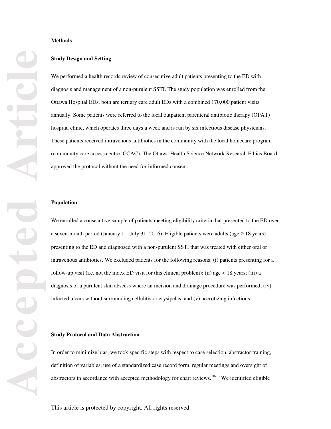### **Methods**

### **Study Design and Setting**

We performed a health records review of consecutive adult patients presenting to the ED with diagnosis and management of a non-purulent SSTI. The study population was enrolled from the Ottawa Hospital EDs, both are tertiary care adult EDs with a combined 170,000 patient visits annually. Some patients were referred to the local outpatient parenteral antibiotic therapy (OPAT) hospital clinic, which operates three days a week and is run by six infectious disease physicians. These patients received intravenous antibiotics in the community with the local homecare program (community care access centre; CCAC). The Ottawa Health Science Network Research Ethics Board approved the protocol without the need for informed consent.

### **Population**

We enrolled a consecutive sample of patients meeting eligibility criteria that presented to the ED over a seven-month period (January 1 – July 31, 2016). Eligible patients were adults (age  $\geq 18$  years) presenting to the ED and diagnosed with a non-purulent SSTI that was treated with either oral or intravenous antibiotics. We excluded patients for the following reasons: (i) patients presenting for a follow-up visit (i.e. not the index ED visit for this clinical problem); (ii) age  $\lt 18$  years; (iii) a diagnosis of a purulent skin abscess where an incision and drainage procedure was performed; (iv) infected ulcers without surrounding cellulitis or erysipelas; and (v) necrotizing infections.

#### **Study Protocol and Data Abstraction**

In order to minimize bias, we took specific steps with respect to case selection, abstractor training, definition of variables, use of a standardized case record form, regular meetings and oversight of abstractors in accordance with accepted methodology for chart reviews.<sup>10-13</sup> We identified eligible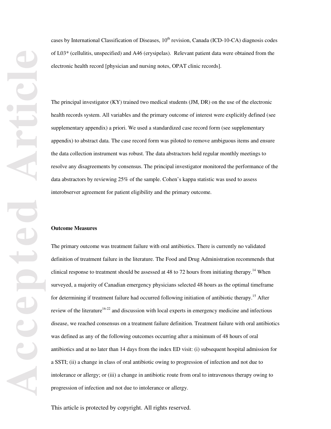cases by International Classification of Diseases, 10<sup>th</sup> revision, Canada (ICD-10-CA) diagnosis codes of L03\* (cellulitis, unspecified) and A46 (erysipelas). Relevant patient data were obtained from the electronic health record [physician and nursing notes, OPAT clinic records].

The principal investigator (KY) trained two medical students (JM, DR) on the use of the electronic health records system. All variables and the primary outcome of interest were explicitly defined (see supplementary appendix) a priori. We used a standardized case record form (see supplementary appendix) to abstract data. The case record form was piloted to remove ambiguous items and ensure the data collection instrument was robust. The data abstractors held regular monthly meetings to resolve any disagreements by consensus. The principal investigator monitored the performance of the data abstractors by reviewing 25% of the sample. Cohen's kappa statistic was used to assess interobserver agreement for patient eligibility and the primary outcome.

### **Outcome Measures**

The primary outcome was treatment failure with oral antibiotics. There is currently no validated definition of treatment failure in the literature. The Food and Drug Administration recommends that clinical response to treatment should be assessed at 48 to 72 hours from initiating therapy.<sup>14</sup> When surveyed, a majority of Canadian emergency physicians selected 48 hours as the optimal timeframe for determining if treatment failure had occurred following initiation of antibiotic therapy.<sup>15</sup> After review of the literature<sup>16-22</sup> and discussion with local experts in emergency medicine and infectious disease, we reached consensus on a treatment failure definition. Treatment failure with oral antibiotics was defined as any of the following outcomes occurring after a minimum of 48 hours of oral antibiotics and at no later than 14 days from the index ED visit: (i) subsequent hospital admission for a SSTI; (ii) a change in class of oral antibiotic owing to progression of infection and not due to intolerance or allergy; or (iii) a change in antibiotic route from oral to intravenous therapy owing to progression of infection and not due to intolerance or allergy.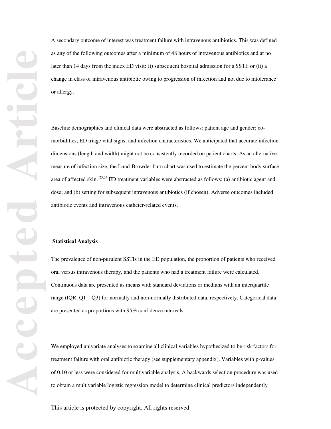A secondary outcome of interest was treatment failure with intravenous antibiotics. This was defined as any of the following outcomes after a minimum of 48 hours of intravenous antibiotics and at no later than 14 days from the index ED visit: (i) subsequent hospital admission for a SSTI; or (ii) a change in class of intravenous antibiotic owing to progression of infection and not due to intolerance or allergy.

Baseline demographics and clinical data were abstracted as follows: patient age and gender; comorbidities; ED triage vital signs; and infection characteristics. We anticipated that accurate infection dimensions (length and width) might not be consistently recorded on patient charts. As an alternative measure of infection size, the Lund-Browder burn chart was used to estimate the percent body surface area of affected skin. 23,24 ED treatment variables were abstracted as follows: (a) antibiotic agent and dose; and (b) setting for subsequent intravenous antibiotics (if chosen). Adverse outcomes included antibiotic events and intravenous catheter-related events.

## **Statistical Analysis**

The prevalence of non-purulent SSTIs in the ED population, the proportion of patients who received oral versus intravenous therapy, and the patients who had a treatment failure were calculated. Continuous data are presented as means with standard deviations or medians with an interquartile range (IQR, Q1 – Q3) for normally and non-normally distributed data, respectively. Categorical data are presented as proportions with 95% confidence intervals.

We employed univariate analyses to examine all clinical variables hypothesized to be risk factors for treatment failure with oral antibiotic therapy (see supplementary appendix). Variables with p-values of 0.10 or less were considered for multivariable analysis. A backwards selection procedure was used to obtain a multivariable logistic regression model to determine clinical predictors independently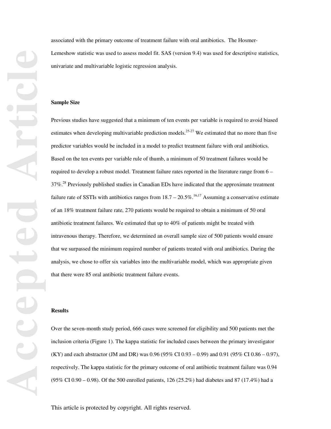associated with the primary outcome of treatment failure with oral antibiotics. The Hosmer-Lemeshow statistic was used to assess model fit. SAS (version 9.4) was used for descriptive statistics, univariate and multivariable logistic regression analysis.

#### **Sample Size**

Previous studies have suggested that a minimum of ten events per variable is required to avoid biased estimates when developing multivariable prediction models.<sup>25-27</sup> We estimated that no more than five predictor variables would be included in a model to predict treatment failure with oral antibiotics. Based on the ten events per variable rule of thumb, a minimum of 50 treatment failures would be required to develop a robust model. Treatment failure rates reported in the literature range from 6 – 37%.28 Previously published studies in Canadian EDs have indicated that the approximate treatment failure rate of SSTIs with antibiotics ranges from  $18.7 - 20.5\%$ .<sup>16,17</sup> Assuming a conservative estimate of an 18% treatment failure rate, 270 patients would be required to obtain a minimum of 50 oral antibiotic treatment failures. We estimated that up to 40% of patients might be treated with intravenous therapy. Therefore, we determined an overall sample size of 500 patients would ensure that we surpassed the minimum required number of patients treated with oral antibiotics. During the analysis, we chose to offer six variables into the multivariable model, which was appropriate given that there were 85 oral antibiotic treatment failure events.

## **Results**

Over the seven-month study period, 666 cases were screened for eligibility and 500 patients met the inclusion criteria (Figure 1). The kappa statistic for included cases between the primary investigator (KY) and each abstractor (JM and DR) was 0.96 (95% CI 0.93 – 0.99) and 0.91 (95% CI 0.86 – 0.97), respectively. The kappa statistic for the primary outcome of oral antibiotic treatment failure was 0.94 (95% CI 0.90 – 0.98). Of the 500 enrolled patients, 126 (25.2%) had diabetes and 87 (17.4%) had a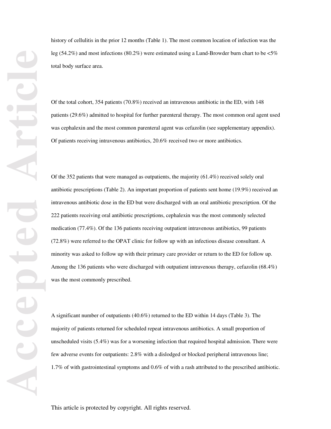history of cellulitis in the prior 12 months (Table 1). The most common location of infection was the leg (54.2%) and most infections (80.2%) were estimated using a Lund-Browder burn chart to be <5% total body surface area.

Of the total cohort, 354 patients (70.8%) received an intravenous antibiotic in the ED, with 148 patients (29.6%) admitted to hospital for further parenteral therapy. The most common oral agent used was cephalexin and the most common parenteral agent was cefazolin (see supplementary appendix). Of patients receiving intravenous antibiotics, 20.6% received two or more antibiotics.

Of the 352 patients that were managed as outpatients, the majority (61.4%) received solely oral antibiotic prescriptions (Table 2). An important proportion of patients sent home (19.9%) received an intravenous antibiotic dose in the ED but were discharged with an oral antibiotic prescription. Of the 222 patients receiving oral antibiotic prescriptions, cephalexin was the most commonly selected medication (77.4%). Of the 136 patients receiving outpatient intravenous antibiotics, 99 patients (72.8%) were referred to the OPAT clinic for follow up with an infectious disease consultant. A minority was asked to follow up with their primary care provider or return to the ED for follow up. Among the 136 patients who were discharged with outpatient intravenous therapy, cefazolin (68.4%) was the most commonly prescribed.

A significant number of outpatients (40.6%) returned to the ED within 14 days (Table 3). The majority of patients returned for scheduled repeat intravenous antibiotics. A small proportion of unscheduled visits (5.4%) was for a worsening infection that required hospital admission. There were few adverse events for outpatients: 2.8% with a dislodged or blocked peripheral intravenous line; 1.7% of with gastrointestinal symptoms and 0.6% of with a rash attributed to the prescribed antibiotic.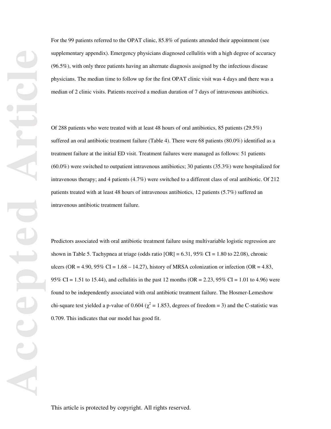For the 99 patients referred to the OPAT clinic, 85.8% of patients attended their appointment (see supplementary appendix). Emergency physicians diagnosed cellulitis with a high degree of accuracy (96.5%), with only three patients having an alternate diagnosis assigned by the infectious disease physicians. The median time to follow up for the first OPAT clinic visit was 4 days and there was a median of 2 clinic visits. Patients received a median duration of 7 days of intravenous antibiotics.

Of 288 patients who were treated with at least 48 hours of oral antibiotics, 85 patients (29.5%) suffered an oral antibiotic treatment failure (Table 4). There were 68 patients (80.0%) identified as a treatment failure at the initial ED visit. Treatment failures were managed as follows: 51 patients (60.0%) were switched to outpatient intravenous antibiotics; 30 patients (35.3%) were hospitalized for intravenous therapy; and 4 patients (4.7%) were switched to a different class of oral antibiotic. Of 212 patients treated with at least 48 hours of intravenous antibiotics, 12 patients (5.7%) suffered an intravenous antibiotic treatment failure.

Predictors associated with oral antibiotic treatment failure using multivariable logistic regression are shown in Table 5. Tachypnea at triage (odds ratio  $[OR] = 6.31, 95\%$  CI = 1.80 to 22.08), chronic ulcers (OR = 4.90,  $95\%$  CI = 1.68 – 14.27), history of MRSA colonization or infection (OR = 4.83, 95% CI = 1.51 to 15.44), and cellulitis in the past 12 months (OR = 2.23, 95% CI = 1.01 to 4.96) were found to be independently associated with oral antibiotic treatment failure. The Hosmer-Lemeshow chi-square test yielded a p-value of 0.604 ( $\chi^2$  = 1.853, degrees of freedom = 3) and the C-statistic was 0.709. This indicates that our model has good fit.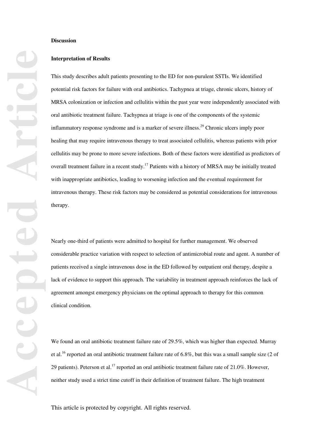## **Discussion**

## **Interpretation of Results**

This study describes adult patients presenting to the ED for non-purulent SSTIs. We identified potential risk factors for failure with oral antibiotics. Tachypnea at triage, chronic ulcers, history of MRSA colonization or infection and cellulitis within the past year were independently associated with oral antibiotic treatment failure. Tachypnea at triage is one of the components of the systemic inflammatory response syndrome and is a marker of severe illness.<sup>29</sup> Chronic ulcers imply poor healing that may require intravenous therapy to treat associated cellulitis, whereas patients with prior cellulitis may be prone to more severe infections. Both of these factors were identified as predictors of overall treatment failure in a recent study.<sup>17</sup> Patients with a history of MRSA may be initially treated with inappropriate antibiotics, leading to worsening infection and the eventual requirement for intravenous therapy. These risk factors may be considered as potential considerations for intravenous therapy.

Nearly one-third of patients were admitted to hospital for further management. We observed considerable practice variation with respect to selection of antimicrobial route and agent. A number of patients received a single intravenous dose in the ED followed by outpatient oral therapy, despite a lack of evidence to support this approach. The variability in treatment approach reinforces the lack of agreement amongst emergency physicians on the optimal approach to therapy for this common clinical condition.

We found an oral antibiotic treatment failure rate of 29.5%, which was higher than expected. Murray et al.16 reported an oral antibiotic treatment failure rate of 6.8%, but this was a small sample size (2 of 29 patients). Peterson et al.<sup>17</sup> reported an oral antibiotic treatment failure rate of 21.0%. However, neither study used a strict time cutoff in their definition of treatment failure. The high treatment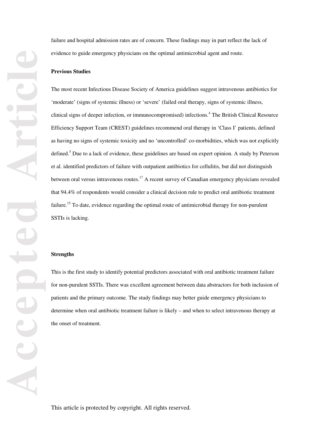failure and hospital admission rates are of concern. These findings may in part reflect the lack of evidence to guide emergency physicians on the optimal antimicrobial agent and route.

## **Previous Studies**

The most recent Infectious Disease Society of America guidelines suggest intravenous antibiotics for 'moderate' (signs of systemic illness) or 'severe' (failed oral therapy, signs of systemic illness, clinical signs of deeper infection, or immunocompromised) infections.<sup>4</sup> The British Clinical Resource Efficiency Support Team (CREST) guidelines recommend oral therapy in 'Class I' patients, defined as having no signs of systemic toxicity and no 'uncontrolled' co-morbidities, which was not explicitly defined.<sup>5</sup> Due to a lack of evidence, these guidelines are based on expert opinion. A study by Peterson et al. identified predictors of failure with outpatient antibiotics for cellulitis, but did not distinguish between oral versus intravenous routes.<sup>17</sup> A recent survey of Canadian emergency physicians revealed that 94.4% of respondents would consider a clinical decision rule to predict oral antibiotic treatment failure.<sup>15</sup> To date, evidence regarding the optimal route of antimicrobial therapy for non-purulent SSTIs is lacking.

#### **Strengths**

This is the first study to identify potential predictors associated with oral antibiotic treatment failure for non-purulent SSTIs. There was excellent agreement between data abstractors for both inclusion of patients and the primary outcome. The study findings may better guide emergency physicians to determine when oral antibiotic treatment failure is likely – and when to select intravenous therapy at the onset of treatment.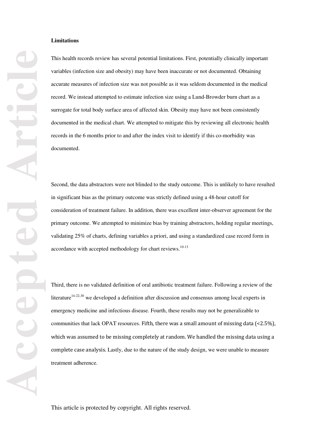#### **Limitations**

This health records review has several potential limitations. First, potentially clinically important variables (infection size and obesity) may have been inaccurate or not documented. Obtaining accurate measures of infection size was not possible as it was seldom documented in the medical record. We instead attempted to estimate infection size using a Lund-Browder burn chart as a surrogate for total body surface area of affected skin. Obesity may have not been consistently documented in the medical chart. We attempted to mitigate this by reviewing all electronic health records in the 6 months prior to and after the index visit to identify if this co-morbidity was documented.

Second, the data abstractors were not blinded to the study outcome. This is unlikely to have resulted in significant bias as the primary outcome was strictly defined using a 48-hour cutoff for consideration of treatment failure. In addition, there was excellent inter-observer agreement for the primary outcome. We attempted to minimize bias by training abstractors, holding regular meetings, validating 25% of charts, defining variables a priori, and using a standardized case record form in accordance with accepted methodology for chart reviews.<sup>10-13</sup>

Third, there is no validated definition of oral antibiotic treatment failure. Following a review of the literature<sup>14-22,30</sup> we developed a definition after discussion and consensus among local experts in emergency medicine and infectious disease. Fourth, these results may not be generalizable to communities that lack OPAT resources. Fifth, there was a small amount of missing data (<2.5%), which was assumed to be missing completely at random. We handled the missing data using a complete case analysis. Lastly, due to the nature of the study design, we were unable to measure treatment adherence.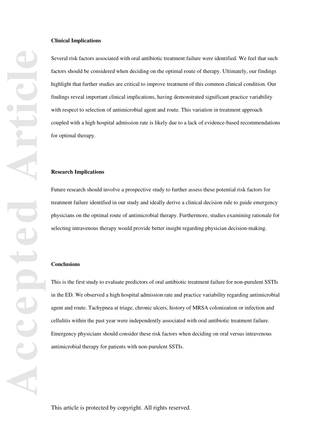## **Clinical Implications**

Several risk factors associated with oral antibiotic treatment failure were identified. We feel that such factors should be considered when deciding on the optimal route of therapy. Ultimately, our findings highlight that further studies are critical to improve treatment of this common clinical condition. Our findings reveal important clinical implications, having demonstrated significant practice variability with respect to selection of antimicrobial agent and route. This variation in treatment approach coupled with a high hospital admission rate is likely due to a lack of evidence-based recommendations for optimal therapy.

#### **Research Implications**

Future research should involve a prospective study to further assess these potential risk factors for treatment failure identified in our study and ideally derive a clinical decision rule to guide emergency physicians on the optimal route of antimicrobial therapy. Furthermore, studies examining rationale for selecting intravenous therapy would provide better insight regarding physician decision-making.

#### **Conclusions**

This is the first study to evaluate predictors of oral antibiotic treatment failure for non-purulent SSTIs in the ED. We observed a high hospital admission rate and practice variability regarding antimicrobial agent and route. Tachypnea at triage, chronic ulcers, history of MRSA colonization or infection and cellulitis within the past year were independently associated with oral antibiotic treatment failure. Emergency physicians should consider these risk factors when deciding on oral versus intravenous antimicrobial therapy for patients with non-purulent SSTIs.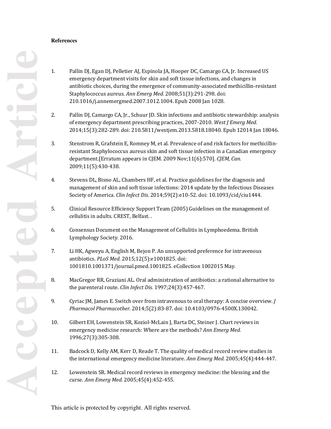## **References**

- 1. Pallin DJ, Egan DJ, Pelletier AJ, Espinola JA, Hooper DC, Camargo CA, Jr. Increased US emergency department visits for skin and soft tissue infections, and changes in antibiotic choices, during the emergence of community-associated methicillin-resistant Staphylococcus aureus. *Ann Emerg Med.* 2008;51(3):291-298. doi: 210.1016/j.annemergmed.2007.1012.1004. Epub 2008 Jan 1028.
- 2. Pallin DJ, Camargo CA, Jr., Schuur JD. Skin infections and antibiotic stewardship: analysis of emergency department prescribing practices, 2007-2010. *West J Emerg Med.*  2014;15(3):282-289. doi: 210.5811/westjem.2013.5818.18040. Epub 12014 Jan 18046.
- 3. Stenstrom R, Grafstein E, Romney M, et al. Prevalence of and risk factors for methicillinresistant Staphylococcus aureus skin and soft tissue infection in a Canadian emergency department.[Erratum appears in CJEM. 2009 Nov;11(6):570]. *CJEM, Can.*  2009;11(5):430-438.
- 4. Stevens DL, Bisno AL, Chambers HF, et al. Practice guidelines for the diagnosis and management of skin and soft tissue infections: 2014 update by the Infectious Diseases Society of America. *Clin Infect Dis.* 2014;59(2):e10-52. doi: 10.1093/cid/ciu1444.
- 5. Clinical Resource Efficiency Support Team (2005) Guidelines on the management of cellulitis in adults. CREST, Belfast. .
- 6. Consensus Document on the Management of Cellulitis in Lymphoedema. British Lymphology Society. 2016.
- 7. Li HK, Agweyu A, English M, Bejon P. An unsupported preference for intravenous antibiotics. *PLoS Med.* 2015;12(5):e1001825. doi: 1001810.1001371/journal.pmed.1001825. eCollection 1002015 May.
- 8. MacGregor RR, Graziani AL. Oral administration of antibiotics: a rational alternative to the parenteral route. *Clin Infect Dis.* 1997;24(3):457-467.
- 9. Cyriac JM, James E. Switch over from intravenous to oral therapy: A concise overview. *J Pharmacol Pharmacother.* 2014;5(2):83-87. doi: 10.4103/0976-4500X.130042.
- 10. Gilbert EH, Lowenstein SR, Koziol-McLain J, Barta DC, Steiner J. Chart reviews in emergency medicine research: Where are the methods? *Ann Emerg Med.*  1996;27(3):305-308.
- 11. Badcock D, Kelly AM, Kerr D, Reade T. The quality of medical record review studies in the international emergency medicine literature. *Ann Emerg Med.* 2005;45(4):444-447.
- 12. Lowenstein SR. Medical record reviews in emergency medicine: the blessing and the curse. *Ann Emerg Med.* 2005;45(4):452-455.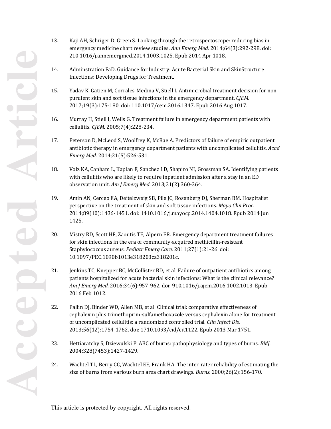- 13. Kaji AH, Schriger D, Green S. Looking through the retrospectoscope: reducing bias in emergency medicine chart review studies. *Ann Emerg Med.* 2014;64(3):292-298. doi: 210.1016/j.annemergmed.2014.1003.1025. Epub 2014 Apr 1018.
- 14. Adminstration FaD. Guidance for Industry: Acute Bacterial Skin and SkinStructure Infections: Developing Drugs for Treatment.
- 15. Yadav K, Gatien M, Corrales-Medina V, Stiell I. Antimicrobial treatment decision for nonpurulent skin and soft tissue infections in the emergency department. *CJEM.*  2017;19(3):175-180. doi: 110.1017/cem.2016.1347. Epub 2016 Aug 1017.
- 16. Murray H, Stiell I, Wells G. Treatment failure in emergency department patients with cellulitis. *CJEM.* 2005;7(4):228-234.
- 17. Peterson D, McLeod S, Woolfrey K, McRae A. Predictors of failure of empiric outpatient antibiotic therapy in emergency department patients with uncomplicated cellulitis. *Acad Emerg Med.* 2014;21(5):526-531.
- 18. Volz KA, Canham L, Kaplan E, Sanchez LD, Shapiro NI, Grossman SA. Identifying patients with cellulitis who are likely to require inpatient admission after a stay in an ED observation unit. *Am J Emerg Med.* 2013;31(2):360-364.
- 19. Amin AN, Cerceo EA, Deitelzweig SB, Pile JC, Rosenberg DJ, Sherman BM. Hospitalist perspective on the treatment of skin and soft tissue infections. *Mayo Clin Proc.*  2014;89(10):1436-1451. doi: 1410.1016/j.mayocp.2014.1404.1018. Epub 2014 Jun 1425.
- 20. Mistry RD, Scott HF, Zaoutis TE, Alpern ER. Emergency department treatment failures for skin infections in the era of community-acquired methicillin-resistant Staphylococcus aureus. *Pediatr Emerg Care.* 2011;27(1):21-26. doi: 10.1097/PEC.1090b1013e318203ca318201c.
- 21. Jenkins TC, Knepper BC, McCollister BD, et al. Failure of outpatient antibiotics among patients hospitalized for acute bacterial skin infections: What is the clinical relevance? *Am J Emerg Med.* 2016;34(6):957-962. doi: 910.1016/j.ajem.2016.1002.1013. Epub 2016 Feb 1012.
- 22. Pallin DJ, Binder WD, Allen MB, et al. Clinical trial: comparative effectiveness of cephalexin plus trimethoprim-sulfamethoxazole versus cephalexin alone for treatment of uncomplicated cellulitis: a randomized controlled trial. *Clin Infect Dis.*  2013;56(12):1754-1762. doi: 1710.1093/cid/cit1122. Epub 2013 Mar 1751.
- 23. Hettiaratchy S, Dziewulski P. ABC of burns: pathophysiology and types of burns. *BMJ.*  2004;328(7453):1427-1429.
- 24. Wachtel TL, Berry CC, Wachtel EE, Frank HA. The inter-rater reliability of estimating the size of burns from various burn area chart drawings. *Burns.* 2000;26(2):156-170.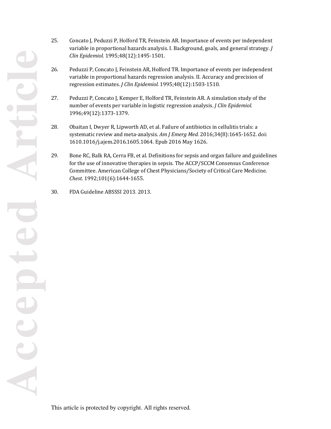25. Concato J, Peduzzi P, Holford TR, Feinstein AR. Importance of events per independent variable in proportional hazards analysis. I. Background, goals, and general strategy. *J Clin Epidemiol.* 1995;48(12):1495-1501.

- 26. Peduzzi P, Concato J, Feinstein AR, Holford TR. Importance of events per independent variable in proportional hazards regression analysis. II. Accuracy and precision of regression estimates. *J Clin Epidemiol.* 1995;48(12):1503-1510.
- 27. Peduzzi P, Concato J, Kemper E, Holford TR, Feinstein AR. A simulation study of the number of events per variable in logistic regression analysis. *J Clin Epidemiol.*  1996;49(12):1373-1379.
- 28. Obaitan I, Dwyer R, Lipworth AD, et al. Failure of antibiotics in cellulitis trials: a systematic review and meta-analysis. *Am J Emerg Med.* 2016;34(8):1645-1652. doi: 1610.1016/j.ajem.2016.1605.1064. Epub 2016 May 1626.
- 29. Bone RC, Balk RA, Cerra FB, et al. Definitions for sepsis and organ failure and guidelines for the use of innovative therapies in sepsis. The ACCP/SCCM Consensus Conference Committee. American College of Chest Physicians/Society of Critical Care Medicine. *Chest.* 1992;101(6):1644-1655.
- 30. FDA Guideline ABSSSI 2013. 2013.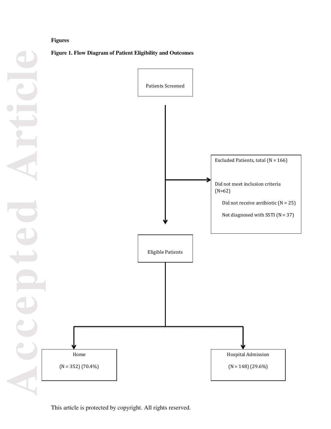## **Figures**

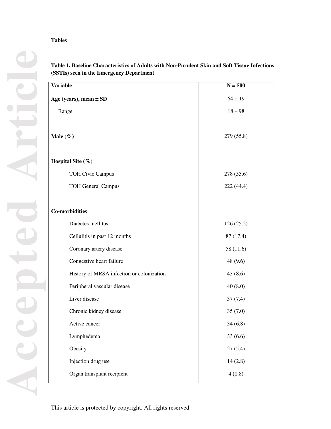## **Tables**

| <b>Variable</b>                           | $N = 500$   |
|-------------------------------------------|-------------|
| Age (years), mean $\pm$ SD                | $64 \pm 19$ |
| Range                                     | $18 - 98$   |
| Male $(\%)$                               | 279 (55.8)  |
| Hospital Site (%)                         |             |
| <b>TOH Civic Campus</b>                   | 278 (55.6)  |
| <b>TOH General Campus</b>                 | 222 (44.4)  |
| <b>Co-morbidities</b>                     |             |
| Diabetes mellitus                         | 126(25.2)   |
| Cellulitis in past 12 months              | 87 (17.4)   |
| Coronary artery disease                   | 58 (11.6)   |
| Congestive heart failure                  | 48 (9.6)    |
| History of MRSA infection or colonization | 43 (8.6)    |
| Peripheral vascular disease               | 40(8.0)     |
| Liver disease                             | 37(7.4)     |
| Chronic kidney disease                    | 35(7.0)     |
| Active cancer                             | 34(6.8)     |
| Lymphedema                                | 33(6.6)     |
| Obesity                                   | 27(5.4)     |
| Injection drug use                        | 14(2.8)     |
| Organ transplant recipient                | 4(0.8)      |

# **Table 1. Baseline Characteristics of Adults with Non-Purulent Skin and Soft Tissue Infections (SSTIs) seen in the Emergency Department**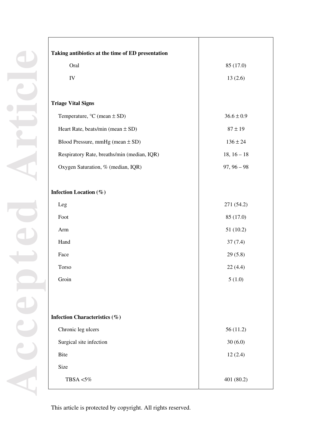| Taking antibiotics at the time of ED presentation |                |
|---------------------------------------------------|----------------|
| Oral                                              | 85 (17.0)      |
| ${\rm IV}$                                        | 13(2.6)        |
|                                                   |                |
| <b>Triage Vital Signs</b>                         |                |
| Temperature, $°C$ (mean $\pm$ SD)                 | $36.6 \pm 0.9$ |
| Heart Rate, beats/min (mean $\pm$ SD)             | $87 \pm 19$    |
| Blood Pressure, mmHg (mean $\pm$ SD)              | $136 \pm 24$   |
| Respiratory Rate, breaths/min (median, IQR)       | $18, 16 - 18$  |
| Oxygen Saturation, % (median, IQR)                | $97, 96 - 98$  |
|                                                   |                |
| Infection Location (%)                            |                |
| Leg                                               | 271 (54.2)     |
| Foot                                              | 85 (17.0)      |
| Arm                                               | 51(10.2)       |
| Hand                                              | 37(7.4)        |
| Face                                              | 29(5.8)        |
| Torso                                             | 22(4.4)        |
| Groin                                             | 5(1.0)         |
|                                                   |                |
|                                                   |                |
| Infection Characteristics (%)                     |                |
| Chronic leg ulcers                                | 56(11.2)       |
| Surgical site infection                           | 30(6.0)        |
| <b>Bite</b>                                       | 12(2.4)        |
| Size                                              |                |
| TBSA <5%                                          | 401 (80.2)     |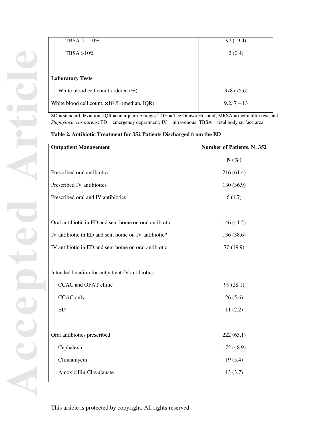| TBSA $5-10\%$                                          | 97 (19.4)     |
|--------------------------------------------------------|---------------|
| $TBSA > 10\%$                                          | 2(0.4)        |
|                                                        |               |
| <b>Laboratory Tests</b>                                |               |
| White blood cell count ordered $(\%)$                  | 378 (75.6)    |
| White blood cell count, $\times 10^9$ /L (median, IQR) | $9.2, 7 - 13$ |

SD = standard deviation; IQR = interquartile range; TOH = The Ottawa Hospital; MRSA = methicillin resistant *Staphylococcus aureus*; ED = emergency department; IV = intravenous; TBSA = total body surface area

**Table 2. Antibiotic Treatment for 352 Patients Discharged from the ED** 

| <b>Outpatient Management</b>                           | Number of Patients, N=352 |  |
|--------------------------------------------------------|---------------------------|--|
|                                                        | $N(\%)$                   |  |
| Prescribed oral antibiotics                            | 216(61.4)                 |  |
| Prescribed IV antibiotics                              | 130 (36.9)                |  |
| Prescribed oral and IV antibiotics                     | 6(1.7)                    |  |
|                                                        |                           |  |
| Oral antibiotic in ED and sent home on oral antibiotic | 146(41.5)                 |  |
| IV antibiotic in ED and sent home on IV antibiotic*    | 136 (38.6)                |  |
| IV antibiotic in ED and sent home on oral antibiotic   | 70 (19.9)                 |  |
|                                                        |                           |  |
| Intended location for outpatient IV antibiotics        |                           |  |
| CCAC and OPAT clinic                                   | 99 (28.1)                 |  |
| CCAC only                                              | 26(5.6)                   |  |
| ED                                                     | 11(2.2)                   |  |
|                                                        |                           |  |
| Oral antibiotics prescribed                            | 222(63.1)                 |  |
| Cephalexin                                             | 172 (48.9)                |  |
| Clindamycin                                            | 19(5.4)                   |  |
| Amoxicillin-Clavulanate                                | 13(3.7)                   |  |
|                                                        |                           |  |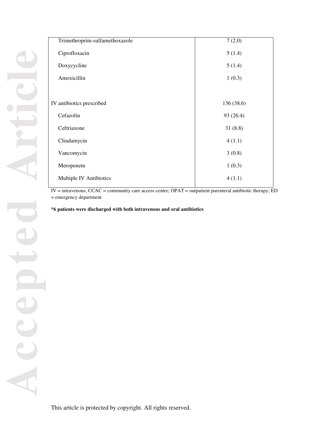| Trimethroprim-sulfamethoxazole | 7(2.0)     |
|--------------------------------|------------|
| Ciprofloxacin                  | 5(1.4)     |
| Doxycycline                    | 5(1.4)     |
| Amoxicillin                    | 1(0.3)     |
|                                |            |
| IV antibiotics prescribed      | 136 (38.6) |
| Cefazolin                      | 93 (26.4)  |
| Ceftriaxone                    | 31(8.8)    |
| Clindamycin                    | 4(1.1)     |
| Vancomycin                     | 3(0.8)     |
| Meropenem                      | 1(0.3)     |
| Multiple IV Antibiotics        | 4(1.1)     |
|                                |            |

IV = intravenous, CCAC = community care access centre; OPAT = outpatient parenteral antibiotic therapy; ED = emergency department

**\*6 patients were discharged with both intravenous and oral antibiotics**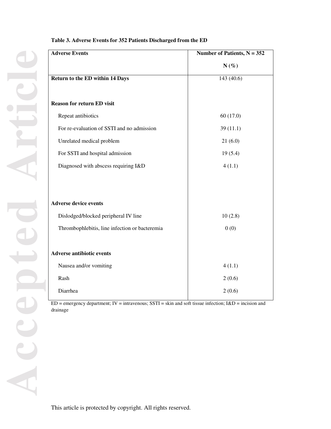| <b>Adverse Events</b>                          | Number of Patients, $N = 352$ |  |
|------------------------------------------------|-------------------------------|--|
|                                                | $N(\%)$                       |  |
| <b>Return to the ED within 14 Days</b>         | 143 (40.6)                    |  |
|                                                |                               |  |
| <b>Reason for return ED visit</b>              |                               |  |
| Repeat antibiotics                             | 60(17.0)                      |  |
| For re-evaluation of SSTI and no admission     | 39(11.1)                      |  |
| Unrelated medical problem                      | 21(6.0)                       |  |
| For SSTI and hospital admission                | 19(5.4)                       |  |
| Diagnosed with abscess requiring I&D           | 4(1.1)                        |  |
|                                                |                               |  |
|                                                |                               |  |
| <b>Adverse device events</b>                   |                               |  |
| Dislodged/blocked peripheral IV line           | 10(2.8)                       |  |
| Thrombophlebitis, line infection or bacteremia | 0(0)                          |  |
|                                                |                               |  |
| <b>Adverse antibiotic events</b>               |                               |  |
| Nausea and/or vomiting                         | 4(1.1)                        |  |
| Rash                                           | 2(0.6)                        |  |
| Diarrhea                                       | 2(0.6)                        |  |

## **Table 3. Adverse Events for 352 Patients Discharged from the ED**

ED = emergency department; IV = intravenous; SSTI = skin and soft tissue infection; I&D = incision and drainage

This article is protected by copyright. All rights reserved.

**Accepted Article**

 $\mathbf{e}$ 

AC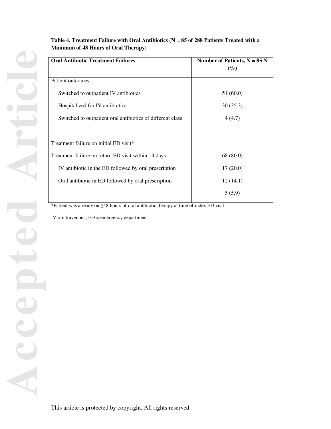# **Table 4. Treatment Failure with Oral Antibiotics (N = 85 of 288 Patients Treated with a Minimum of 48 Hours of Oral Therapy)**

| <b>Oral Antibiotic Treatment Failures</b>                  | Number of Patients, $N = 85 N$<br>$(\%)$ |  |
|------------------------------------------------------------|------------------------------------------|--|
| Patient outcomes                                           |                                          |  |
| Switched to outpatient IV antibiotics                      | 51(60.0)                                 |  |
| Hospitalized for IV antibiotics                            | 30(35.3)                                 |  |
| Switched to outpatient oral antibiotics of different class | 4(4.7)                                   |  |
|                                                            |                                          |  |
| Treatment failure on initial ED visit <sup>*</sup>         |                                          |  |
| Treatment failure on return ED visit within 14 days        | 68 (80.0)                                |  |
| IV antibiotic in the ED followed by oral prescription      | 17(20.0)                                 |  |
| Oral antibiotic in ED followed by oral prescription        | 12(14.1)                                 |  |
|                                                            | 5(5.9)                                   |  |
|                                                            |                                          |  |

\*Patient was already on ≥48 hours of oral antibiotic therapy at time of index ED visit

 $IV =$  intravenous;  $ED =$  emergency department